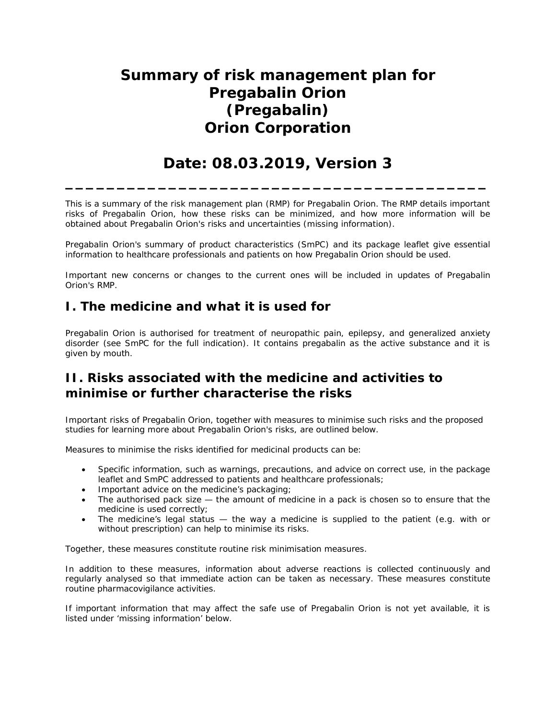# **Summary of risk management plan for Pregabalin Orion (Pregabalin) Orion Corporation**

## **Date: 08.03.2019, Version 3**

**\_\_\_\_\_\_\_\_\_\_\_\_\_\_\_\_\_\_\_\_\_\_\_\_\_\_\_\_\_\_\_\_\_\_\_\_\_\_\_\_\_**

This is a summary of the risk management plan (RMP) for Pregabalin Orion. The RMP details important risks of Pregabalin Orion, how these risks can be minimized, and how more information will be obtained about Pregabalin Orion's risks and uncertainties (missing information).

Pregabalin Orion's summary of product characteristics (SmPC) and its package leaflet give essential information to healthcare professionals and patients on how Pregabalin Orion should be used.

Important new concerns or changes to the current ones will be included in updates of Pregabalin Orion's RMP.

## **I. The medicine and what it is used for**

Pregabalin Orion is authorised for treatment of neuropathic pain, epilepsy, and generalized anxiety disorder (see SmPC for the full indication). It contains pregabalin as the active substance and it is given by mouth.

## **II. Risks associated with the medicine and activities to minimise or further characterise the risks**

Important risks of Pregabalin Orion, together with measures to minimise such risks and the proposed studies for learning more about Pregabalin Orion's risks, are outlined below.

Measures to minimise the risks identified for medicinal products can be:

- · Specific information, such as warnings, precautions, and advice on correct use, in the package leaflet and SmPC addressed to patients and healthcare professionals;
- · Important advice on the medicine's packaging;
- The authorised pack size the amount of medicine in a pack is chosen so to ensure that the medicine is used correctly;
- · The medicine's legal status the way a medicine is supplied to the patient (e.g. with or without prescription) can help to minimise its risks.

Together, these measures constitute routine risk minimisation measures.

In addition to these measures, information about adverse reactions is collected continuously and regularly analysed so that immediate action can be taken as necessary. These measures constitute *routine pharmacovigilance activities*.

If important information that may affect the safe use of Pregabalin Orion is not yet available, it is listed under 'missing information' below.